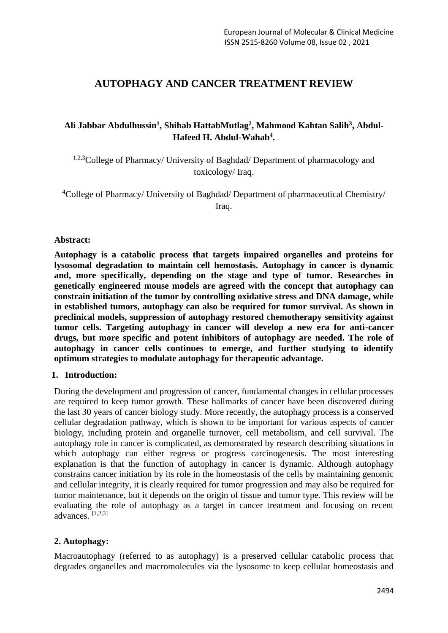# **AUTOPHAGY AND CANCER TREATMENT REVIEW**

## **Ali Jabbar Abdulhussin<sup>1</sup> , Shihab HattabMutlag<sup>2</sup> , Mahmood Kahtan Salih<sup>3</sup> , Abdul-Hafeed H. Abdul-Wahab<sup>4</sup> .**

<sup>1,2,3</sup>College of Pharmacy/ University of Baghdad/ Department of pharmacology and toxicology/ Iraq.

<sup>4</sup>College of Pharmacy/ University of Baghdad/ Department of pharmaceutical Chemistry/ Iraq.

## **Abstract:**

**Autophagy is a catabolic process that targets impaired organelles and proteins for lysosomal degradation to maintain cell hemostasis. Autophagy in cancer is dynamic and, more specifically, depending on the stage and type of tumor. Researches in genetically engineered mouse models are agreed with the concept that autophagy can constrain initiation of the tumor by controlling oxidative stress and DNA damage, while in established tumors, autophagy can also be required for tumor survival. As shown in preclinical models, suppression of autophagy restored chemotherapy sensitivity against tumor cells. Targeting autophagy in cancer will develop a new era for anti-cancer drugs, but more specific and potent inhibitors of autophagy are needed. The role of autophagy in cancer cells continues to emerge, and further studying to identify optimum strategies to modulate autophagy for therapeutic advantage.**

#### **1. Introduction:**

During the development and progression of cancer, fundamental changes in cellular processes are required to keep tumor growth. These hallmarks of cancer have been discovered during the last 30 years of cancer biology study. More recently, the autophagy process is a conserved cellular degradation pathway, which is shown to be important for various aspects of cancer biology, including protein and organelle turnover, cell metabolism, and cell survival. The autophagy role in cancer is complicated, as demonstrated by research describing situations in which autophagy can either regress or progress carcinogenesis. The most interesting explanation is that the function of autophagy in cancer is dynamic. Although autophagy constrains cancer initiation by its role in the homeostasis of the cells by maintaining genomic and cellular integrity, it is clearly required for tumor progression and may also be required for tumor maintenance, but it depends on the origin of tissue and tumor type. This review will be evaluating the role of autophagy as a target in cancer treatment and focusing on recent advances $\left[1,2,3\right]$ 

## **2. Autophagy:**

Macroautophagy (referred to as autophagy) is a preserved cellular catabolic process that degrades organelles and macromolecules via the lysosome to keep cellular homeostasis and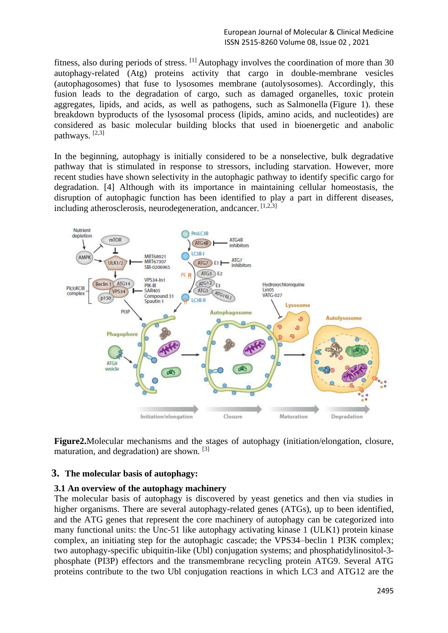fitness, also during periods of stress. [1] Autophagy involves the coordination of more than 30 autophagy-related (Atg) proteins activity that cargo in double-membrane vesicles (autophagosomes) that fuse to lysosomes membrane (autolysosomes). Accordingly, this fusion leads to the degradation of cargo, such as damaged organelles, toxic protein aggregates, lipids, and acids, as well as pathogens, such as Salmonella (Figure 1). these breakdown byproducts of the lysosomal process (lipids, amino acids, and nucleotides) are considered as basic molecular building blocks that used in bioenergetic and anabolic pathways. [2,3]

In the beginning, autophagy is initially considered to be a nonselective, bulk degradative pathway that is stimulated in response to stressors, including starvation. However, more recent studies have shown selectivity in the autophagic pathway to identify specific cargo for degradation. [4] Although with its importance in maintaining cellular homeostasis, the disruption of autophagic function has been identified to play a part in different diseases, including atherosclerosis, neurodegeneration, andcancer. [1,2,3]



**Figure2.**Molecular mechanisms and the stages of autophagy (initiation/elongation, closure, maturation, and degradation) are shown. [3]

## **3. The molecular basis of autophagy:**

#### **3.1 An overview of the autophagy machinery**

The molecular basis of autophagy is discovered by yeast genetics and then via studies in higher organisms. There are several autophagy-related genes (ATGs), up to been identified, and the ATG genes that represent the core machinery of autophagy can be categorized into many functional units: the Unc-51 like autophagy activating kinase 1 (ULK1) protein kinase complex, an initiating step for the autophagic cascade; the VPS34–beclin 1 PI3K complex; two autophagy-specific ubiquitin-like (Ubl) conjugation systems; and phosphatidylinositol-3 phosphate (PI3P) effectors and the transmembrane recycling protein ATG9. Several ATG proteins contribute to the two Ubl conjugation reactions in which LC3 and ATG12 are the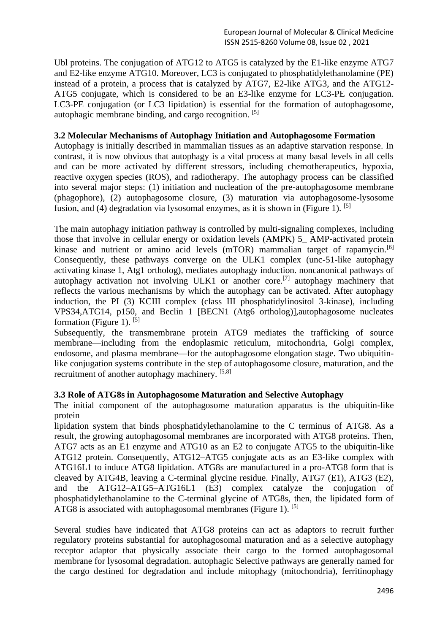Ubl proteins. The conjugation of ATG12 to ATG5 is catalyzed by the E1-like enzyme ATG7 and E2-like enzyme ATG10. Moreover, LC3 is conjugated to phosphatidylethanolamine (PE) instead of a protein, a process that is catalyzed by ATG7, E2-like ATG3, and the ATG12- ATG5 conjugate, which is considered to be an E3-like enzyme for LC3-PE conjugation. LC3-PE conjugation (or LC3 lipidation) is essential for the formation of autophagosome, autophagic membrane binding, and cargo recognition. [5]

#### **3.2 Molecular Mechanisms of Autophagy Initiation and Autophagosome Formation**

Autophagy is initially described in mammalian tissues as an adaptive starvation response. In contrast, it is now obvious that autophagy is a vital process at many basal levels in all cells and can be more activated by different stressors, including chemotherapeutics, hypoxia, reactive oxygen species (ROS), and radiotherapy. The autophagy process can be classified into several major steps: (1) initiation and nucleation of the pre-autophagosome membrane (phagophore), (2) autophagosome closure, (3) maturation via autophagosome-lysosome fusion, and (4) degradation via lysosomal enzymes, as it is shown in (Figure 1). <sup>[5]</sup>

The main autophagy initiation pathway is controlled by multi-signaling complexes, including those that involve in cellular energy or oxidation levels (AMPK) 5\_ AMP-activated protein kinase and nutrient or amino acid levels (mTOR) mammalian target of rapamycin.<sup>[6]</sup> Consequently, these pathways converge on the ULK1 complex (unc-51-like autophagy activating kinase 1, Atg1 ortholog), mediates autophagy induction. noncanonical pathways of autophagy activation not involving ULK1 or another core.[7] autophagy machinery that reflects the various mechanisms by which the autophagy can be activated. After autophagy induction, the PI (3) KCIII complex (class III phosphatidylinositol 3-kinase), including VPS34,ATG14, p150, and Beclin 1 [BECN1 (Atg6 ortholog)],autophagosome nucleates formation (Figure 1).  $[5]$ 

Subsequently, the transmembrane protein ATG9 mediates the trafficking of source membrane—including from the endoplasmic reticulum, mitochondria, Golgi complex, endosome, and plasma membrane—for the autophagosome elongation stage. Two ubiquitinlike conjugation systems contribute in the step of autophagosome closure, maturation, and the recruitment of another autophagy machinery. [5,8]

#### **3.3 Role of ATG8s in Autophagosome Maturation and Selective Autophagy**

The initial component of the autophagosome maturation apparatus is the ubiquitin-like protein

lipidation system that binds phosphatidylethanolamine to the C terminus of ATG8. As a result, the growing autophagosomal membranes are incorporated with ATG8 proteins. Then, ATG7 acts as an E1 enzyme and ATG10 as an E2 to conjugate ATG5 to the ubiquitin-like ATG12 protein. Consequently, ATG12–ATG5 conjugate acts as an E3-like complex with ATG16L1 to induce ATG8 lipidation. ATG8s are manufactured in a pro-ATG8 form that is cleaved by ATG4B, leaving a C-terminal glycine residue. Finally, ATG7 (E1), ATG3 (E2), and the ATG12–ATG5–ATG16L1 (E3) complex catalyze the conjugation of phosphatidylethanolamine to the C-terminal glycine of ATG8s, then, the lipidated form of ATG8 is associated with autophagosomal membranes (Figure 1). [5]

Several studies have indicated that ATG8 proteins can act as adaptors to recruit further regulatory proteins substantial for autophagosomal maturation and as a selective autophagy receptor adaptor that physically associate their cargo to the formed autophagosomal membrane for lysosomal degradation. autophagic Selective pathways are generally named for the cargo destined for degradation and include mitophagy (mitochondria), ferritinophagy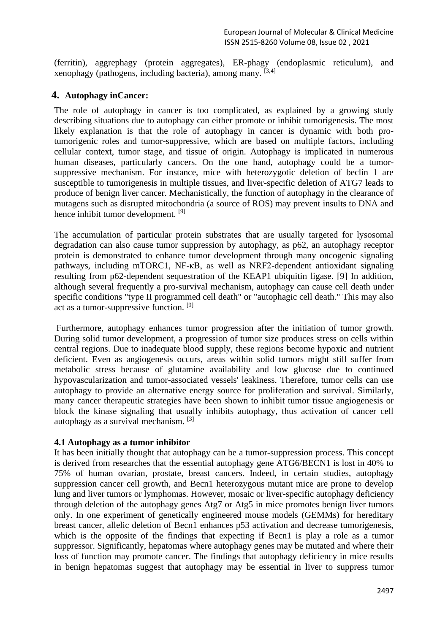(ferritin), aggrephagy (protein aggregates), ER-phagy (endoplasmic reticulum), and xenophagy (pathogens, including bacteria), among many. [3,4]

## **4. Autophagy inCancer:**

The role of autophagy in cancer is too complicated, as explained by a growing study describing situations due to autophagy can either promote or inhibit tumorigenesis. The most likely explanation is that the role of autophagy in cancer is dynamic with both protumorigenic roles and tumor-suppressive, which are based on multiple factors, including cellular context, tumor stage, and tissue of origin. Autophagy is implicated in numerous human diseases, particularly cancers. On the one hand, autophagy could be a tumorsuppressive mechanism. For instance, mice with heterozygotic deletion of beclin 1 are susceptible to tumorigenesis in multiple tissues, and liver-specific deletion of ATG7 leads to produce of benign liver cancer. Mechanistically, the function of autophagy in the clearance of mutagens such as disrupted mitochondria (a source of ROS) may prevent insults to DNA and hence inhibit tumor development. [9]

The accumulation of particular protein substrates that are usually targeted for lysosomal degradation can also cause tumor suppression by autophagy, as p62, an autophagy receptor protein is demonstrated to enhance tumor development through many oncogenic signaling pathways, including mTORC1, NF-κB, as well as NRF2-dependent antioxidant signaling resulting from p62-dependent sequestration of the KEAP1 ubiquitin ligase. [9] In addition, although several frequently a pro-survival mechanism, autophagy can cause cell death under specific conditions "type II programmed cell death" or "autophagic cell death." This may also act as a tumor-suppressive function. [9]

Furthermore, autophagy enhances tumor progression after the initiation of tumor growth. During solid tumor development, a progression of tumor size produces stress on cells within central regions. Due to inadequate blood supply, these regions become hypoxic and nutrient deficient. Even as angiogenesis occurs, areas within solid tumors might still suffer from metabolic stress because of glutamine availability and low glucose due to continued hypovascularization and tumor-associated vessels' leakiness. Therefore, tumor cells can use autophagy to provide an alternative energy source for proliferation and survival. Similarly, many cancer therapeutic strategies have been shown to inhibit tumor tissue angiogenesis or block the kinase signaling that usually inhibits autophagy, thus activation of cancer cell autophagy as a survival mechanism. [3]

#### **4.1 Autophagy as a tumor inhibitor**

It has been initially thought that autophagy can be a tumor-suppression process. This concept is derived from researches that the essential autophagy gene ATG6/BECN1 is lost in 40% to 75% of human ovarian, prostate, breast cancers. Indeed, in certain studies, autophagy suppression cancer cell growth, and Becn1 heterozygous mutant mice are prone to develop lung and liver tumors or lymphomas. However, mosaic or liver-specific autophagy deficiency through deletion of the autophagy genes Atg7 or Atg5 in mice promotes benign liver tumors only. In one experiment of genetically engineered mouse models (GEMMs) for hereditary breast cancer, allelic deletion of Becn1 enhances p53 activation and decrease tumorigenesis, which is the opposite of the findings that expecting if Becn1 is play a role as a tumor suppressor. Significantly, hepatomas where autophagy genes may be mutated and where their loss of function may promote cancer. The findings that autophagy deficiency in mice results in benign hepatomas suggest that autophagy may be essential in liver to suppress tumor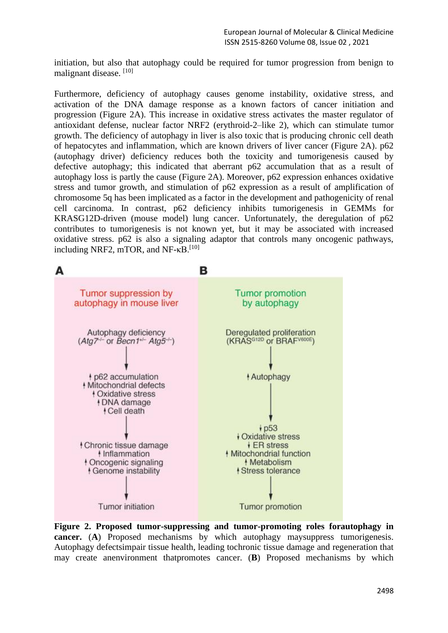initiation, but also that autophagy could be required for tumor progression from benign to malignant disease. [10]

Furthermore, deficiency of autophagy causes genome instability, oxidative stress, and activation of the DNA damage response as a known factors of cancer initiation and progression (Figure 2A). This increase in oxidative stress activates the master regulator of antioxidant defense, nuclear factor NRF2 (erythroid-2–like 2), which can stimulate tumor growth. The deficiency of autophagy in liver is also toxic that is producing chronic cell death of hepatocytes and inflammation, which are known drivers of liver cancer (Figure 2A). p62 (autophagy driver) deficiency reduces both the toxicity and tumorigenesis caused by defective autophagy; this indicated that aberrant p62 accumulation that as a result of autophagy loss is partly the cause (Figure 2A). Moreover, p62 expression enhances oxidative stress and tumor growth, and stimulation of p62 expression as a result of amplification of chromosome 5q has been implicated as a factor in the development and pathogenicity of renal cell carcinoma. In contrast, p62 deficiency inhibits tumorigenesis in GEMMs for KRASG12D-driven (mouse model) lung cancer. Unfortunately, the deregulation of p62 contributes to tumorigenesis is not known yet, but it may be associated with increased oxidative stress. p62 is also a signaling adaptor that controls many oncogenic pathways, including NRF2, mTOR, and NF- $\kappa$ B.<sup>[10]</sup>



**Figure 2. Proposed tumor-suppressing and tumor-promoting roles forautophagy in cancer.** (**A**) Proposed mechanisms by which autophagy maysuppress tumorigenesis. Autophagy defectsimpair tissue health, leading tochronic tissue damage and regeneration that may create anenvironment thatpromotes cancer. (**B**) Proposed mechanisms by which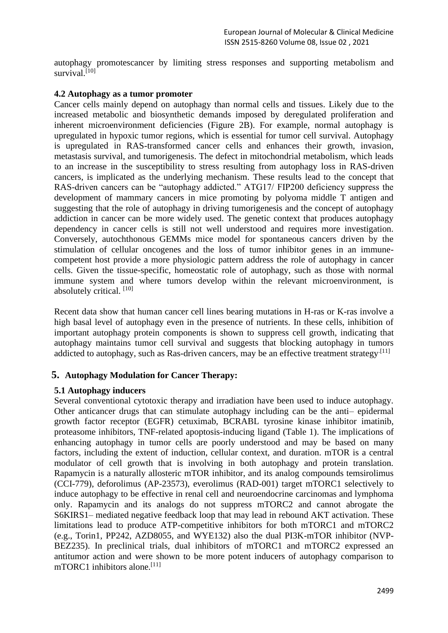autophagy promotescancer by limiting stress responses and supporting metabolism and survival.<sup>[10]</sup>

#### **4.2 Autophagy as a tumor promoter**

Cancer cells mainly depend on autophagy than normal cells and tissues. Likely due to the increased metabolic and biosynthetic demands imposed by deregulated proliferation and inherent microenvironment deficiencies (Figure 2B). For example, normal autophagy is upregulated in hypoxic tumor regions, which is essential for tumor cell survival. Autophagy is upregulated in RAS-transformed cancer cells and enhances their growth, invasion, metastasis survival, and tumorigenesis. The defect in mitochondrial metabolism, which leads to an increase in the susceptibility to stress resulting from autophagy loss in RAS-driven cancers, is implicated as the underlying mechanism. These results lead to the concept that RAS-driven cancers can be "autophagy addicted." ATG17/ FIP200 deficiency suppress the development of mammary cancers in mice promoting by polyoma middle T antigen and suggesting that the role of autophagy in driving tumorigenesis and the concept of autophagy addiction in cancer can be more widely used. The genetic context that produces autophagy dependency in cancer cells is still not well understood and requires more investigation. Conversely, autochthonous GEMMs mice model for spontaneous cancers driven by the stimulation of cellular oncogenes and the loss of tumor inhibitor genes in an immunecompetent host provide a more physiologic pattern address the role of autophagy in cancer cells. Given the tissue-specific, homeostatic role of autophagy, such as those with normal immune system and where tumors develop within the relevant microenvironment, is absolutely critical. [10]

Recent data show that human cancer cell lines bearing mutations in H-ras or K-ras involve a high basal level of autophagy even in the presence of nutrients. In these cells, inhibition of important autophagy protein components is shown to suppress cell growth, indicating that autophagy maintains tumor cell survival and suggests that blocking autophagy in tumors addicted to autophagy, such as Ras-driven cancers, may be an effective treatment strategy.<sup>[11]</sup>

## **5. Autophagy Modulation for Cancer Therapy:**

#### **5.1 Autophagy inducers**

Several conventional cytotoxic therapy and irradiation have been used to induce autophagy. Other anticancer drugs that can stimulate autophagy including can be the anti– epidermal growth factor receptor (EGFR) cetuximab, BCRABL tyrosine kinase inhibitor imatinib, proteasome inhibitors, TNF-related apoptosis-inducing ligand (Table 1). The implications of enhancing autophagy in tumor cells are poorly understood and may be based on many factors, including the extent of induction, cellular context, and duration. mTOR is a central modulator of cell growth that is involving in both autophagy and protein translation. Rapamycin is a naturally allosteric mTOR inhibitor, and its analog compounds temsirolimus (CCI-779), deforolimus (AP-23573), everolimus (RAD-001) target mTORC1 selectively to induce autophagy to be effective in renal cell and neuroendocrine carcinomas and lymphoma only. Rapamycin and its analogs do not suppress mTORC2 and cannot abrogate the S6KIRS1– mediated negative feedback loop that may lead in rebound AKT activation. These limitations lead to produce ATP-competitive inhibitors for both mTORC1 and mTORC2 (e.g., Torin1, PP242, AZD8055, and WYE132) also the dual PI3K-mTOR inhibitor (NVP-BEZ235). In preclinical trials, dual inhibitors of mTORC1 and mTORC2 expressed an antitumor action and were shown to be more potent inducers of autophagy comparison to  $mTORC1$  inhibitors alone.<sup>[11]</sup>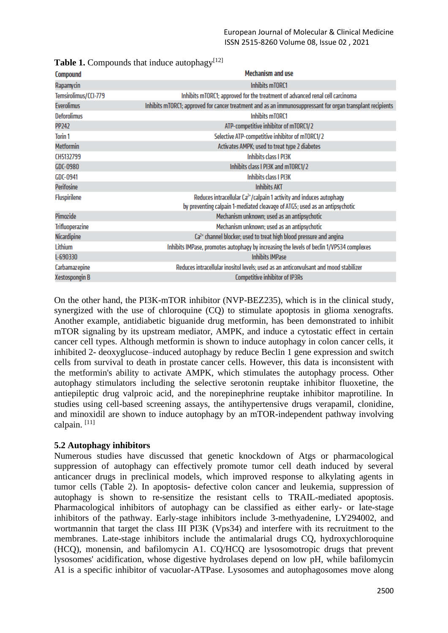| <b>Mechanism and use</b>                                                                                                                               |  |  |
|--------------------------------------------------------------------------------------------------------------------------------------------------------|--|--|
| Inhibits mTORC1                                                                                                                                        |  |  |
| Inhibits mTORC1; approved for the treatment of advanced renal cell carcinoma                                                                           |  |  |
| Inhibits mTORC1; approved for cancer treatment and as an immunosuppressant for organ transplant recipients                                             |  |  |
| Inhibits mTORC1                                                                                                                                        |  |  |
| ATP-competitive inhibitor of mTORC1/2                                                                                                                  |  |  |
| Selective ATP-competitive inhibitor of mTORC1/2                                                                                                        |  |  |
| Activates AMPK; used to treat type 2 diabetes                                                                                                          |  |  |
| Inhibits class I PIBK                                                                                                                                  |  |  |
| Inhibits class I PI3K and mTORC1/2                                                                                                                     |  |  |
| Inhibits class I PI3K                                                                                                                                  |  |  |
| <b>Inhibits AKT</b>                                                                                                                                    |  |  |
| Reduces intracellular $Ca2+/cal$ paint 1 activity and induces autophagy<br>by preventing calpain 1-mediated cleavage of ATG5; used as an antipsychotic |  |  |
| Mechanism unknown; used as an antipsychotic                                                                                                            |  |  |
| Mechanism unknown; used as an antipsychotic                                                                                                            |  |  |
| $Ca2+$ channel blocker; used to treat high blood pressure and angina                                                                                   |  |  |
| Inhibits IMPase, promotes autophagy by increasing the levels of beclin 1/VPS34 complexes                                                               |  |  |
| <b>Inhibits IMPase</b>                                                                                                                                 |  |  |
| Reduces intracellular inositol levels; used as an anticonvulsant and mood stabilizer                                                                   |  |  |
| <b>Competitive inhibitor of IP3Rs</b>                                                                                                                  |  |  |
|                                                                                                                                                        |  |  |

**Table 1.** Compounds that induce autophagy $[12]$ 

On the other hand, the PI3K-mTOR inhibitor (NVP-BEZ235), which is in the clinical study, synergized with the use of chloroquine (CQ) to stimulate apoptosis in glioma xenografts. Another example, antidiabetic biguanide drug metformin, has been demonstrated to inhibit mTOR signaling by its upstream mediator, AMPK, and induce a cytostatic effect in certain cancer cell types. Although metformin is shown to induce autophagy in colon cancer cells, it inhibited 2- deoxyglucose–induced autophagy by reduce Beclin 1 gene expression and switch cells from survival to death in prostate cancer cells. However, this data is inconsistent with the metformin's ability to activate AMPK, which stimulates the autophagy process. Other autophagy stimulators including the selective serotonin reuptake inhibitor fluoxetine, the antiepileptic drug valproic acid, and the norepinephrine reuptake inhibitor maprotiline. In studies using cell-based screening assays, the antihypertensive drugs verapamil, clonidine, and minoxidil are shown to induce autophagy by an mTOR-independent pathway involving calpain.<sup>[11]</sup>

#### **5.2 Autophagy inhibitors**

Numerous studies have discussed that genetic knockdown of Atgs or pharmacological suppression of autophagy can effectively promote tumor cell death induced by several anticancer drugs in preclinical models, which improved response to alkylating agents in tumor cells (Table 2). In apoptosis- defective colon cancer and leukemia, suppression of autophagy is shown to re-sensitize the resistant cells to TRAIL-mediated apoptosis. Pharmacological inhibitors of autophagy can be classified as either early- or late-stage inhibitors of the pathway. Early-stage inhibitors include 3-methyadenine, LY294002, and wortmannin that target the class III PI3K (Vps34) and interfere with its recruitment to the membranes. Late-stage inhibitors include the antimalarial drugs CQ, hydroxychloroquine (HCQ), monensin, and bafilomycin A1. CQ/HCQ are lysosomotropic drugs that prevent lysosomes' acidification, whose digestive hydrolases depend on low pH, while bafilomycin A1 is a specific inhibitor of vacuolar-ATPase. Lysosomes and autophagosomes move along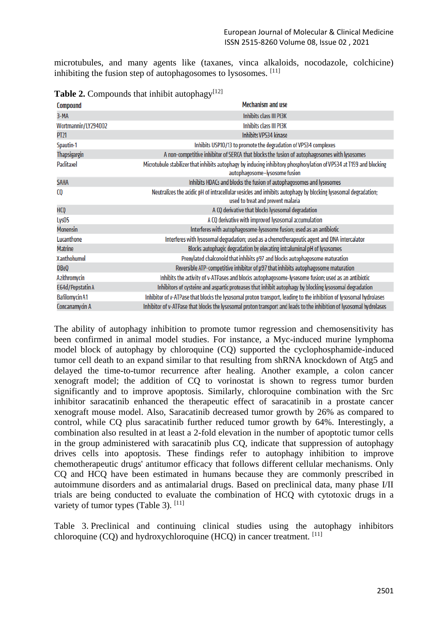microtubules, and many agents like (taxanes, vinca alkaloids, nocodazole, colchicine) inhibiting the fusion step of autophagosomes to lysosomes.  $[11]$ 

| <b>Compound</b>       | <b>Mechanism and use</b>                                                                                                                             |  |  |
|-----------------------|------------------------------------------------------------------------------------------------------------------------------------------------------|--|--|
| 3-MA                  | Inhibits class III PI3K                                                                                                                              |  |  |
| Wortmannin/LY294002   | Inhibits class III PI3K                                                                                                                              |  |  |
| PT21                  | <b>Inhibits VPS34 kinase</b>                                                                                                                         |  |  |
| Spautin-1             | Inhibits USP10/13 to promote the degradation of VPS34 complexes                                                                                      |  |  |
| Thapsigargin          | A non-competitive inhibitor of SERCA that blocks the fusion of autophagosomes with lysosomes                                                         |  |  |
| Paclitaxel            | Microtubule stabilizer that inhibits autophagy by inducing inhibitory phosphorylation of VPS34 at T159 and blocking<br>autophagosome-lysosome fusion |  |  |
| SAHA                  | Inhibits HDACs and blocks the fusion of autophagosomes and lysosomes                                                                                 |  |  |
| CO                    | Neutralizes the acidic pH of intracellular vesicles and inhibits autophagy by blocking lysosomal degradation;<br>used to treat and prevent malaria   |  |  |
| HCQ                   | A CQ derivative that blocks lysosomal degradation                                                                                                    |  |  |
| Lys05                 | A CQ derivative with improved lysosomal accumulation                                                                                                 |  |  |
| <b>Monensin</b>       | Interferes with autophagosome-lysosome fusion; used as an antibiotic                                                                                 |  |  |
| Lucanthone            | Interferes with lysosomal degradation; used as a chemotherapeutic agent and DNA intercalator                                                         |  |  |
| <b>Matrine</b>        | Blocks autophagic degradation by elevating intraluminal pH of lysosomes                                                                              |  |  |
| Xanthohumol           | Prenylated chalconoid that inhibits p97 and blocks autophagosome maturation                                                                          |  |  |
| DBeQ                  | Reversible ATP-competitive inhibitor of p97 that inhibits autophagosome maturation                                                                   |  |  |
| Azithromycin          | Inhibits the activity of v-ATPases and blocks autophagosome-lysosome fusion; used as an antibiotic                                                   |  |  |
| E64d/Pepstatin A      | Inhibitors of cysteine and aspartic proteases that inhibit autophagy by blocking lysosomal degradation                                               |  |  |
| <b>Bafilomycin A1</b> | Inhibitor of v-ATPase that blocks the lysosomal proton transport, leading to the inhibition of lysosomal hydrolases                                  |  |  |
| Concanamycin A        | Inhibitor of v-ATPase that blocks the lysosomal proton transport and leads to the inhibition of lysosomal hydrolases                                 |  |  |

**Table 2.** Compounds that inhibit autophagy $[12]$ 

The ability of autophagy inhibition to promote tumor regression and chemosensitivity has been confirmed in animal model studies. For instance, a Myc-induced murine lymphoma model block of autophagy by chloroquine (CQ) supported the cyclophosphamide-induced tumor cell death to an expand similar to that resulting from shRNA knockdown of Atg5 and delayed the time-to-tumor recurrence after healing. Another example, a colon cancer xenograft model; the addition of CQ to vorinostat is shown to regress tumor burden significantly and to improve apoptosis. Similarly, chloroquine combination with the Src inhibitor saracatinib enhanced the therapeutic effect of saracatinib in a prostate cancer xenograft mouse model. Also, Saracatinib decreased tumor growth by 26% as compared to control, while CQ plus saracatinib further reduced tumor growth by 64%. Interestingly, a combination also resulted in at least a 2-fold elevation in the number of apoptotic tumor cells in the group administered with saracatinib plus CQ, indicate that suppression of autophagy drives cells into apoptosis. These findings refer to autophagy inhibition to improve chemotherapeutic drugs' antitumor efficacy that follows different cellular mechanisms. Only CQ and HCQ have been estimated in humans because they are commonly prescribed in autoimmune disorders and as antimalarial drugs. Based on preclinical data, many phase I/II trials are being conducted to evaluate the combination of HCQ with cytotoxic drugs in a variety of tumor types (Table 3).  $[11]$ 

Table 3. Preclinical and continuing clinical studies using the autophagy inhibitors chloroquine (CQ) and hydroxychloroquine (HCQ) in cancer treatment. [11]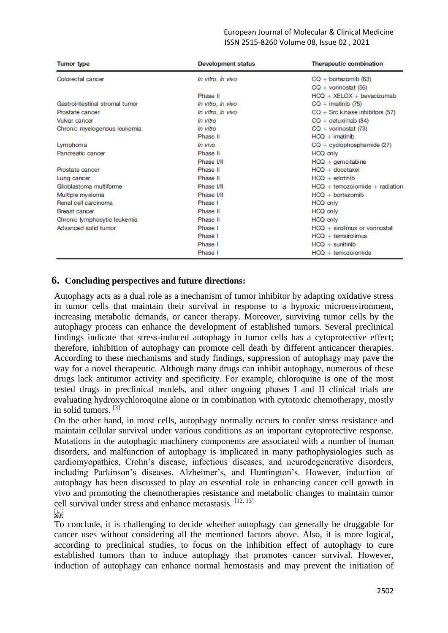#### European Journal of Molecular & Clinical Medicine ISSN 2515-8260 Volume 08, Issue 02 , 2021

| <b>Tumor type</b>              | <b>Development status</b> | <b>Therapeutic combination</b>                          |
|--------------------------------|---------------------------|---------------------------------------------------------|
| Colorectal cancer              | In vitro, in vivo         | $CQ +$ bortezomib (63)<br>$CQ + \text{vorinostat}$ (56) |
|                                | Phase II                  | $HCO + XELOX + bevacizumab$                             |
| Gastrointestinal stromal tumor | In vitro, in vivo         | $CQ$ + imatinib (75)                                    |
| Prostate cancer                | In vitro, in vivo         | $CQ + Src$ kinase inhibitors (57)                       |
| Vulvar cancer                  | In vitro                  | $CQ + c$ etuximab (34)                                  |
| Chronic myelogenous leukemia   | In vitro                  | $CQ + \text{vorinostat} (73)$                           |
|                                | Phase II                  | $HCO + imatinib$                                        |
| Lymphoma                       | In vivo                   | $CQ + cyclophosphamide (27)$                            |
| Pancreatic cancer              | Phase II                  | HCQ only                                                |
|                                | Phase I/II                | $HCO +$ gemcitabine                                     |
| Prostate cancer                | Phase II                  | $HCO + docetaxel$                                       |
| Lung cancer                    | Phase II                  | $HCO + erlotinib$                                       |
| Glioblastoma multiforme        | Phase I/II                | $HCO + temozolomide + radiation$                        |
| Multiple myeloma               | Phase I/II                | $HCO + bortezomib$                                      |
| Renal cell carcinoma           | Phase I                   | HCQ only                                                |
| <b>Breast cancer</b>           | Phase II                  | HCQ only                                                |
| Chronic lymphocytic leukemia   | Phase II                  | HCQ only                                                |
| Advanced solid tumor           | Phase I                   | $HCO +$ sirolimus or vorinostat                         |
|                                | Phase I                   | $HCO +$ temsirolimus                                    |
|                                | Phase I                   | $HCO + sunitinib$                                       |
|                                | Phase I                   | $HCO + temozolomide$                                    |

## **6. Concluding perspectives and future directions:**

Autophagy acts as a dual role as a mechanism of tumor inhibitor by adapting oxidative stress in tumor cells that maintain their survival in response to a hypoxic microenvironment, increasing metabolic demands, or cancer therapy. Moreover, surviving tumor cells by the autophagy process can enhance the development of established tumors. Several preclinical findings indicate that stress-induced autophagy in tumor cells has a cytoprotective effect; therefore, inhibition of autophagy can promote cell death by different anticancer therapies. According to these mechanisms and study findings, suppression of autophagy may pave the way for a novel therapeutic. Although many drugs can inhibit autophagy, numerous of these drugs lack antitumor activity and specificity. For example, chloroquine is one of the most tested drugs in preclinical models, and other ongoing phases I and II clinical trials are evaluating hydroxychloroquine alone or in combination with cytotoxic chemotherapy, mostly in solid tumors. [3]

On the other hand, in most cells, autophagy normally occurs to confer stress resistance and maintain cellular survival under various conditions as an important cytoprotective response. Mutations in the autophagic machinery components are associated with a number of human disorders, and malfunction of autophagy is implicated in many pathophysiologies such as cardiomyopathies, Crohn's disease, infectious diseases, and neurodegenerative disorders, including Parkinson's diseases, Alzheimer's, and Huntington's. However, induction of autophagy has been discussed to play an essential role in enhancing cancer cell growth in vivo and promoting the chemotherapies resistance and metabolic changes to maintain tumor cell survival under stress and enhance metastasis. [12, 13]

## $\sum_{\mathbf{SEP}}$

To conclude, it is challenging to decide whether autophagy can generally be druggable for cancer uses without considering all the mentioned factors above. Also, it is more logical, according to preclinical studies, to focus on the inhibition effect of autophagy to cure established tumors than to induce autophagy that promotes cancer survival. However, induction of autophagy can enhance normal hemostasis and may prevent the initiation of